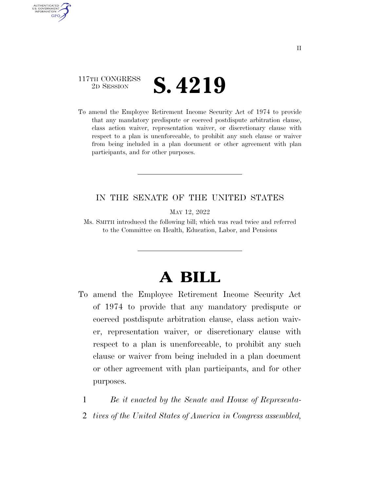### 117TH CONGRESS <sup>TH CONGRESS</sup> **S. 4219**

AUTHENTICATED U.S. GOVERNMENT GPO

> To amend the Employee Retirement Income Security Act of 1974 to provide that any mandatory predispute or coerced postdispute arbitration clause, class action waiver, representation waiver, or discretionary clause with respect to a plan is unenforceable, to prohibit any such clause or waiver from being included in a plan document or other agreement with plan participants, and for other purposes.

### IN THE SENATE OF THE UNITED STATES

MAY 12, 2022

Ms. SMITH introduced the following bill; which was read twice and referred to the Committee on Health, Education, Labor, and Pensions

# **A BILL**

- To amend the Employee Retirement Income Security Act of 1974 to provide that any mandatory predispute or coerced postdispute arbitration clause, class action waiver, representation waiver, or discretionary clause with respect to a plan is unenforceable, to prohibit any such clause or waiver from being included in a plan document or other agreement with plan participants, and for other purposes.
	- 1 *Be it enacted by the Senate and House of Representa-*
	- 2 *tives of the United States of America in Congress assembled,*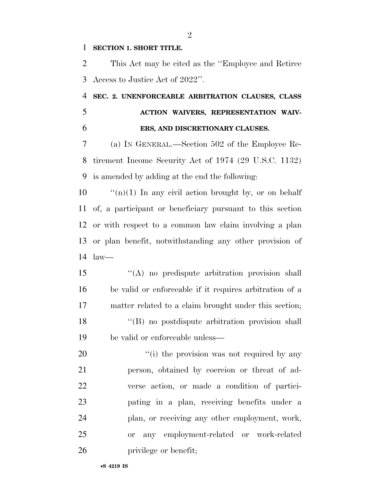#### **SECTION 1. SHORT TITLE.**

 This Act may be cited as the ''Employee and Retiree Access to Justice Act of 2022''.

## **SEC. 2. UNENFORCEABLE ARBITRATION CLAUSES, CLASS ACTION WAIVERS, REPRESENTATION WAIV-ERS, AND DISCRETIONARY CLAUSES.**

 (a) IN GENERAL.—Section 502 of the Employee Re- tirement Income Security Act of 1974 (29 U.S.C. 1132) is amended by adding at the end the following:

 ''(n)(1) In any civil action brought by, or on behalf of, a participant or beneficiary pursuant to this section or with respect to a common law claim involving a plan or plan benefit, notwithstanding any other provision of law—

 ''(A) no predispute arbitration provision shall be valid or enforceable if it requires arbitration of a matter related to a claim brought under this section; ''(B) no postdispute arbitration provision shall be valid or enforceable unless—

 $\frac{1}{1}$  the provision was not required by any person, obtained by coercion or threat of ad- verse action, or made a condition of partici- pating in a plan, receiving benefits under a plan, or receiving any other employment, work, or any employment-related or work-related **privilege** or benefit;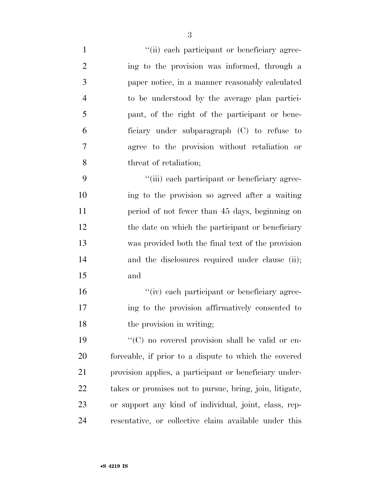| $\mathbf{1}$   | "(ii) each participant or beneficiary agree-            |
|----------------|---------------------------------------------------------|
| $\overline{2}$ | ing to the provision was informed, through a            |
| 3              | paper notice, in a manner reasonably calculated         |
| $\overline{4}$ | to be understood by the average plan partici-           |
| 5              | pant, of the right of the participant or bene-          |
| 6              | ficiary under subparagraph (C) to refuse to             |
| 7              | agree to the provision without retaliation or           |
| 8              | threat of retaliation;                                  |
| 9              | "(iii) each participant or beneficiary agree-           |
| 10             | ing to the provision so agreed after a waiting          |
| 11             | period of not fewer than 45 days, beginning on          |
| 12             | the date on which the participant or beneficiary        |
| 13             | was provided both the final text of the provision       |
| 14             | and the disclosures required under clause (ii);         |
| 15             | and                                                     |
| 16             | "(iv) each participant or beneficiary agree-            |
| 17             | ing to the provision affirmatively consented to         |
| 18             | the provision in writing;                               |
| 19             | "(C) no covered provision shall be valid or en-         |
| 20             | forceable, if prior to a dispute to which the covered   |
| 21             | provision applies, a participant or beneficiary under-  |
| 22             | takes or promises not to pursue, bring, join, litigate, |
| 23             | or support any kind of individual, joint, class, rep-   |
| 24             | resentative, or collective claim available under this   |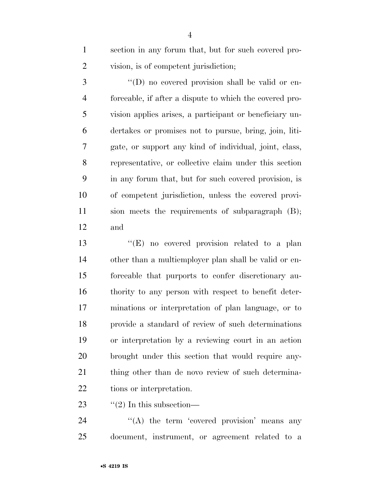section in any forum that, but for such covered pro-vision, is of competent jurisdiction;

3 "(D) no covered provision shall be valid or en- forceable, if after a dispute to which the covered pro- vision applies arises, a participant or beneficiary un- dertakes or promises not to pursue, bring, join, liti- gate, or support any kind of individual, joint, class, representative, or collective claim under this section in any forum that, but for such covered provision, is of competent jurisdiction, unless the covered provi- sion meets the requirements of subparagraph (B); and

13 "(E) no covered provision related to a plan other than a multiemployer plan shall be valid or en- forceable that purports to confer discretionary au- thority to any person with respect to benefit deter- minations or interpretation of plan language, or to provide a standard of review of such determinations or interpretation by a reviewing court in an action brought under this section that would require any-21 thing other than de novo review of such determina-tions or interpretation.

23  $\frac{1}{2}$   $\frac{1}{2}$  In this subsection—

24  $\langle A \rangle$  the term 'covered provision' means any document, instrument, or agreement related to a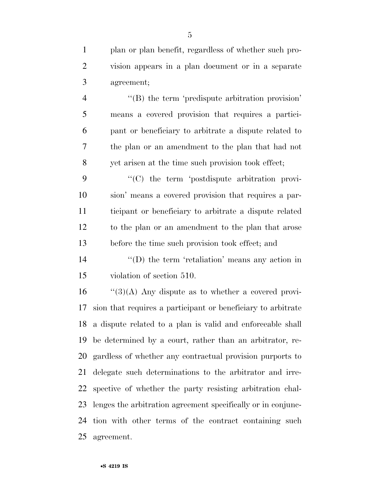plan or plan benefit, regardless of whether such pro- vision appears in a plan document or in a separate agreement;

4 "(B) the term 'predispute arbitration provision' means a covered provision that requires a partici- pant or beneficiary to arbitrate a dispute related to the plan or an amendment to the plan that had not yet arisen at the time such provision took effect;

 ''(C) the term 'postdispute arbitration provi- sion' means a covered provision that requires a par- ticipant or beneficiary to arbitrate a dispute related to the plan or an amendment to the plan that arose before the time such provision took effect; and

14  $\langle \text{`}(D) \rangle$  the term 'retaliation' means any action in violation of section 510.

 ''(3)(A) Any dispute as to whether a covered provi- sion that requires a participant or beneficiary to arbitrate a dispute related to a plan is valid and enforceable shall be determined by a court, rather than an arbitrator, re- gardless of whether any contractual provision purports to delegate such determinations to the arbitrator and irre- spective of whether the party resisting arbitration chal- lenges the arbitration agreement specifically or in conjunc- tion with other terms of the contract containing such agreement.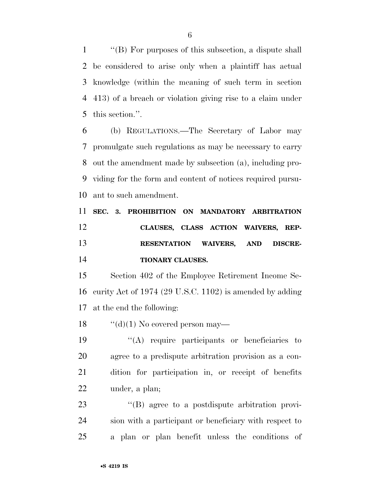''(B) For purposes of this subsection, a dispute shall be considered to arise only when a plaintiff has actual knowledge (within the meaning of such term in section 413) of a breach or violation giving rise to a claim under this section.''.

 (b) REGULATIONS.—The Secretary of Labor may promulgate such regulations as may be necessary to carry out the amendment made by subsection (a), including pro- viding for the form and content of notices required pursu-ant to such amendment.

 **SEC. 3. PROHIBITION ON MANDATORY ARBITRATION CLAUSES, CLASS ACTION WAIVERS, REP- RESENTATION WAIVERS, AND DISCRE-TIONARY CLAUSES.** 

 Section 402 of the Employee Retirement Income Se- curity Act of 1974 (29 U.S.C. 1102) is amended by adding at the end the following:

18  $\cdot$  "(d)(1) No covered person may—

 ''(A) require participants or beneficiaries to agree to a predispute arbitration provision as a con- dition for participation in, or receipt of benefits under, a plan;

23  $\langle G \rangle$  agree to a postdispute arbitration provi- sion with a participant or beneficiary with respect to a plan or plan benefit unless the conditions of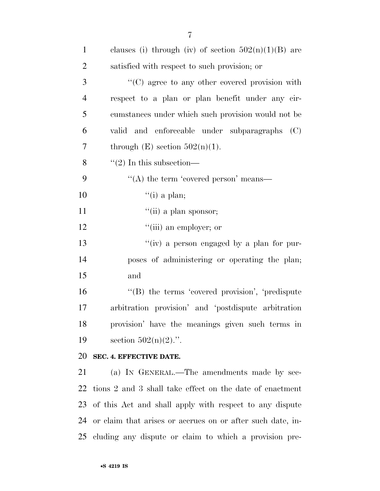| clauses (i) through (iv) of section $502(n)(1)(B)$ are        |
|---------------------------------------------------------------|
| satisfied with respect to such provision; or                  |
| "(C) agree to any other covered provision with                |
| respect to a plan or plan benefit under any cir-              |
| cumstances under which such provision would not be            |
| valid and enforceable under subparagraphs (C)                 |
| through $(E)$ section $502(n)(1)$ .                           |
| $\lq(2)$ In this subsection—                                  |
| "(A) the term 'covered person' means—                         |
| "(i) a plan;                                                  |
| "(ii) a plan sponsor;                                         |
| "(iii) an employer; or                                        |
| "(iv) a person engaged by a plan for pur-                     |
| poses of administering or operating the plan;                 |
| and                                                           |
| "(B) the terms 'covered provision', 'predispute               |
| arbitration provision' and 'postdispute arbitration           |
| provision' have the meanings given such terms in              |
| section $502(n)(2)$ .".                                       |
| SEC. 4. EFFECTIVE DATE.                                       |
| (a) IN GENERAL.—The amendments made by sec-                   |
| tions 2 and 3 shall take effect on the date of enactment      |
| 23 of this Act and shall apply with respect to any dispute    |
| 24 or claim that arises or accrues on or after such date, in- |
|                                                               |

cluding any dispute or claim to which a provision pre-